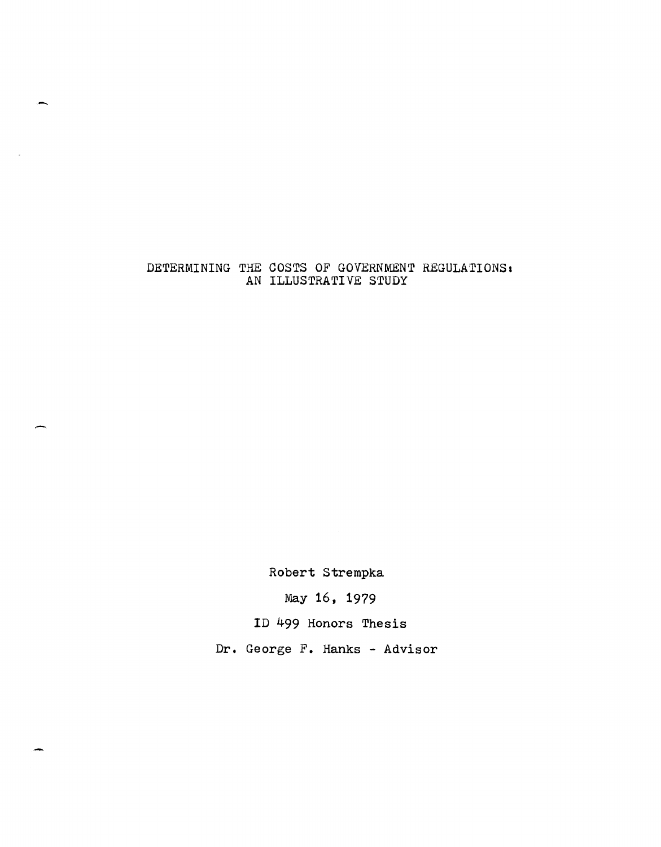## DETERMINING THE COSTS OF GOVERNMENT REGULATIONS. AN ILLUSTRATIVE STUDY

-

 $\overline{a}$ 

Robert Strempka

May 16, 1979

ID 499 Honors Thesis

Dr. George F. Hanks - Advisor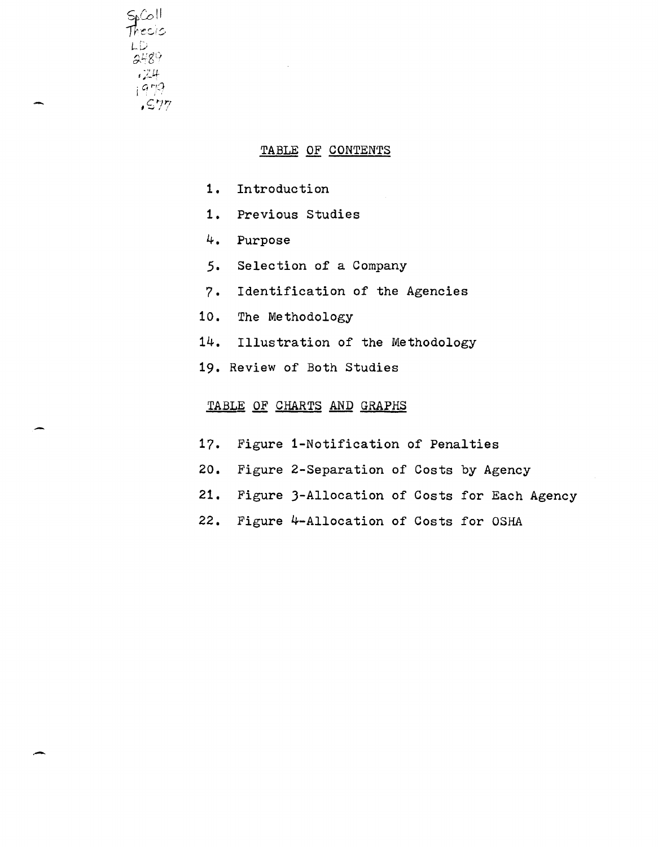

-

## TABLE OF CONTENTS

- 1. Introduction
- 1. Previous Studies
- 4. Purpose
- 5. Selection of a Company
- 7. Identification of the Agencies
- 10. The Methodology
- 14. Illustration of the Methodology
- 19. Review of Both Studies

## TABLE OF CHARTS AND GRAPHS

- 17. Figure i-Notification of Penalties
- 20. Figure 2-Separation of Costs by Agency
- 21. Figure J-Allocation of Costs for Each Agency
- 22. Figure 4-Allocation of Costs for OSHA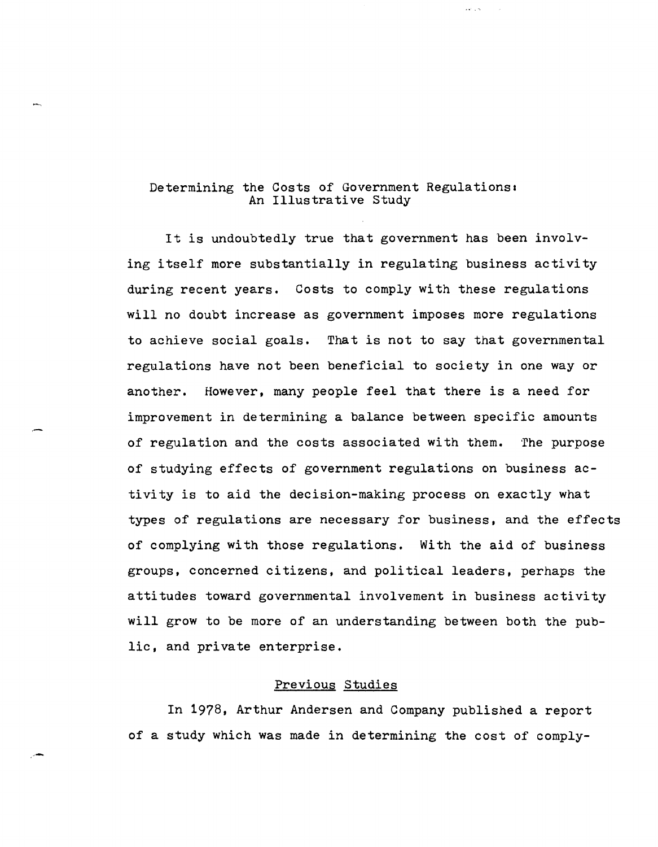## Determining the Costs of Government Regulations: An Illustrative Study

 $\mathcal{L}(\mathcal{L}) \subset \mathcal{L}(\mathcal{L})$ 

It is undoubtedly true that government has been involving itself more substantially in regulating business activity during recent years. Costs to comply with these regulations will no doubt increase as government imposes more regulations to achieve social goals. That is not to say that governmental regulations have not been beneficial to society in one way or another. However, many people feel that there is a need for improvement in determining a balance between specific amounts of regulation and the costs associated with them. The purpose of studying effects of government regulations on business activity is to aid the decision-making process on exactly what types of regulations are necessary for business, and the effects of complying with those regulations. With the aid of business groups, concerned citizens, and political leaders, perhaps the attitudes toward governmental involvement in business activity will grow to be more of an understanding between both the public, and private enterprise.

## Previous Studies

In 1978, Arthur Andersen and Company published a report of a study which was made in determining the cost of comply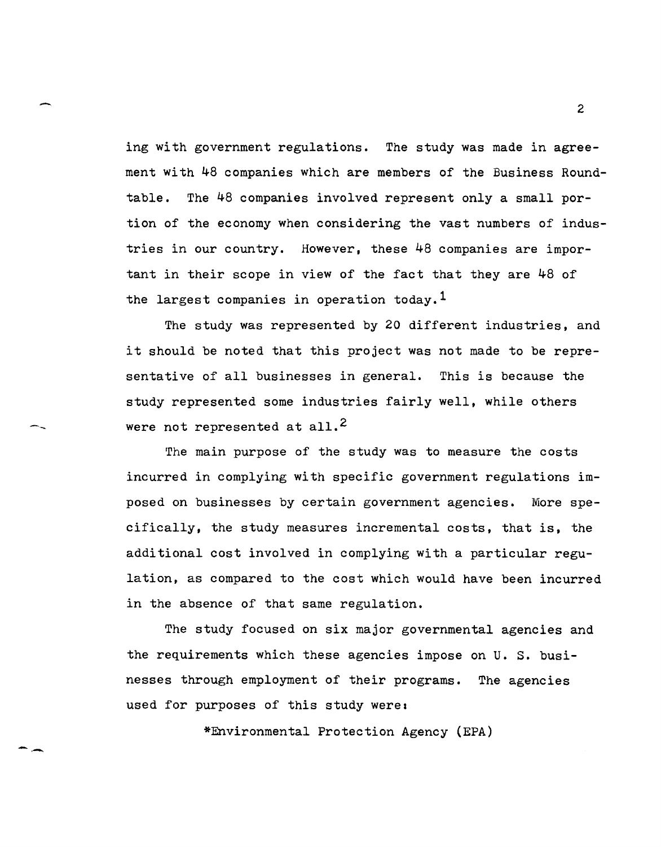ing with government regulations. The study was made in agreement with 48 companies which are members of the Business Roundtable. The 48 companies involved represent only a small portion of the economy when considering the vast numbers of industries in our country. However, these 48 companies are important in their scope in view of the fact that they are 48 of the largest companies in operation today.<sup>1</sup>

-

--

--

The study was represented by 20 different industries, and it should be noted that this project was not made to be representative of all businesses in general. This is because the study represented some industries fairly well, while others were not represented at all.<sup>2</sup>

The main purpose of the study was to measure the costs incurred in complying with specific government regulations imposed on businesses by certain government agencies. More specifically, the study measures incremental costs, that is, the additional cost involved in complying with a particular regulation, as compared to the cost which would have been incurred in the absence of that same regulation.

The study focused on six major governmental agencies and the requirements which these agencies impose on U. S. businesses through employment of their programs. The agencies used for purposes of this study were:

\*Environmental Protection Agency (EPA)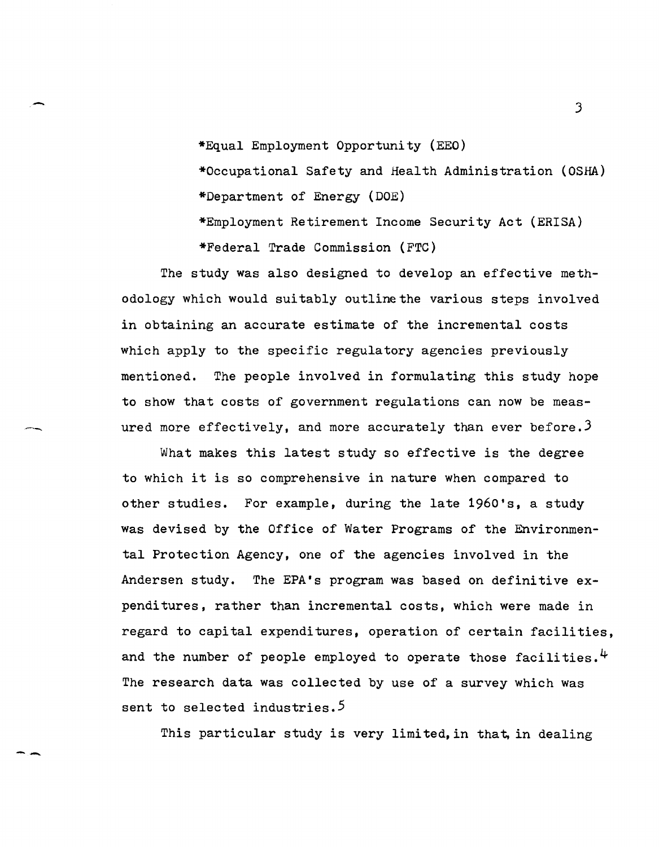\*Equal Employment Opportunity (EEO)

-

--

\*Occupational Safety and Health Administration (OSHA) \*Department of Energy (DOE)

\*Employment Retirement Income Security Act (ERISA)

\*Federal Trade Commission (FTC)

The study was also designed to develop an effective methodology which would suitably outline the various steps involved in obtaining an accurate estimate of the incremental costs which apply to the specific regulatory agencies previously mentioned. The people involved in formulating this study hope to show that costs of government regulations can now be measured more effectively, and more accurately than ever before.  $3$ 

What makes this latest study so effective is the degree to which it is so comprehensive in nature when compared to other studies. For example, during the late 1960's, a study was devised by the Office of Water Programs of the Environmental Protection Agency, one of the agencies involved in the Andersen study. The EPA's program was based on definitive expenditures, rather than incremental costs, which were made in regard to capital expenditures, operation of certain facilities, and the number of people employed to operate those facilities.  $4$ The research data was collected by use of a survey which was sent to selected industries.<sup>5</sup>

This particular study is very limited, in that, in dealing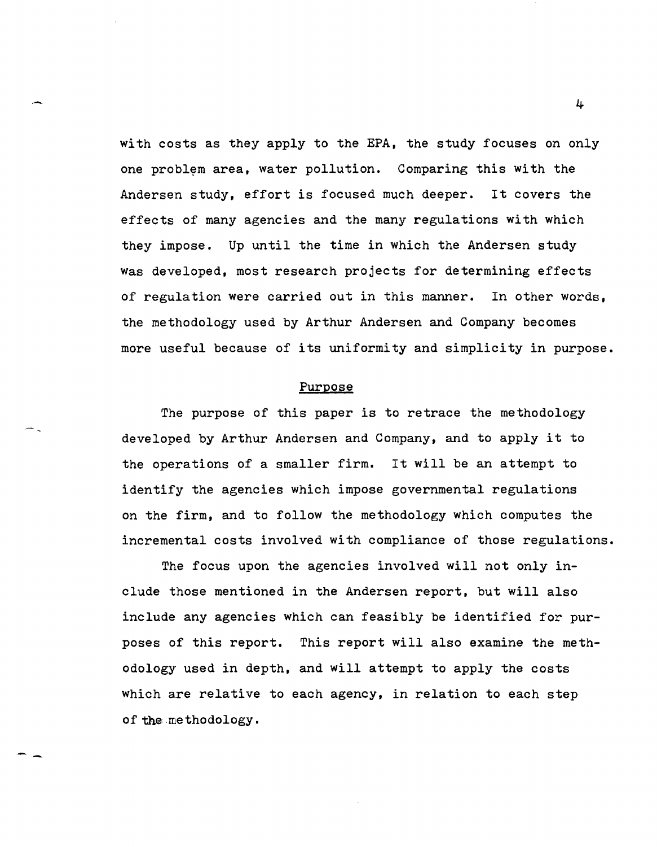with costs as they apply to the EPA, the study focuses on only one problem area, water pollution. Comparing this with the Andersen study, effort is focused much deeper. It covers the effects of many agencies and the many regulations with which they impose. Up until the time in which the Andersen study was developed, most research projects for determining effects of regulation were carried out in this manner. In other words, the methodology used by Arthur Andersen and Company becomes more useful because of its uniformity and simplicity in purpose.

#### Purpose

The purpose of this paper is to retrace the methodology developed by Arthur Andersen and Company, and to apply it to the operations of a smaller firm. It will be an attempt to identify the agencies which impose governmental regulations on the firm, and to follow the methodology which computes the incremental costs involved with compliance of those regulations.

The focus upon the agencies involved will not only include those mentioned in the Andersen report, but will also include any agencies which can feasibly be identified for purposes of this report. This report will also examine the methodology used in depth, and will attempt to apply the costs which are relative to each agency, in relation to each step of the methodology.

-,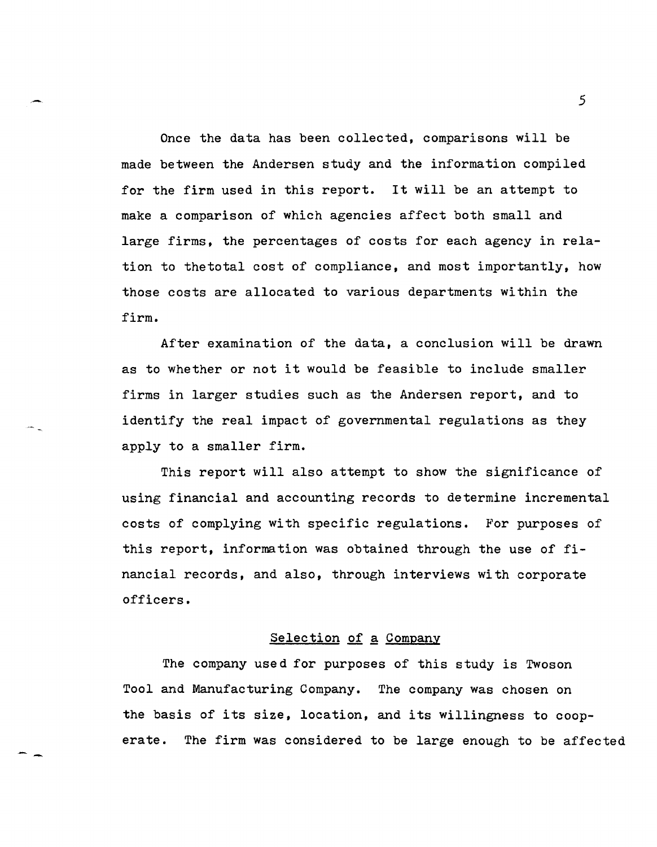Once the data has been collected, comparisons will be made between the Andersen study and the information compiled for the firm used in this report. It will be an attempt to make a comparison of which agencies affect both small and large firms, the percentages of costs for each agency in relation to thetotal cost of compliance, and most importantly. how those costs are allocated to various departments within the firm.

After examination of the data, a conclusion will be drawn as to whether or not it would be feasible to include smaller firms in larger studies such as the Andersen report, and to identify the real impact of governmental regulations as they apply to a smaller firm.

This report will also attempt to show the significance of using financial and accounting records to determine incremental costs of complying with specific regulations. For purposes of this report, information was obtained through the use of financial records, and also, through interviews with corporate officers.

#### Selection of a Company

The company used for purposes of this study is Twoson Tool and Manufacturing Company. The company was chosen on the basis of its size, location, and its willingness to cooperate. The firm was considered to be large enough to be affected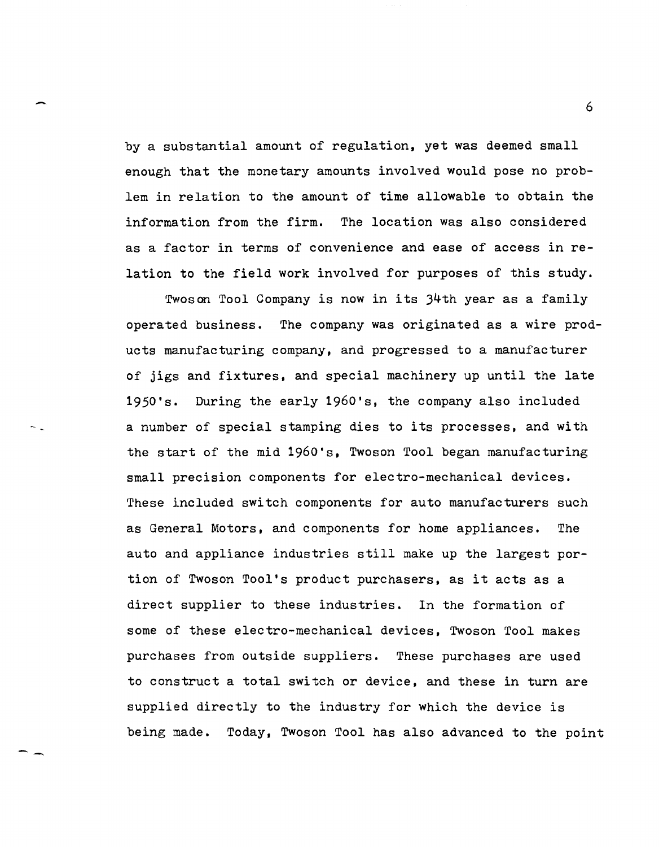by a substantial amount of regulation, yet was deemed small enough that the monetary amounts involved would pose no problem in relation to the amount of time allowable to obtain the information from the firm. The location was also considered as a factor in terms of convenience and ease of access in relation to the field work involved for purposes of this study.

rfwos on Tool Company is now in its 34th year as a family operated business. The company was originated as a wire products manufacturing company, and progressed to a manufacturer of jigs and fixtures, and special machinery up until the late 1950's. During the early 1960's, the company also included a number of special stamping dies to its processes, and with the start of the mid 1960's, Twoson Tool began manufacturing small precision components for electro-mechanical devices. These included switch components for auto manufacturers such as General Motors, and components for home appliances. The auto and appliance industries still make up the largest portion of Twoson Tool's product purchasers, as it acts as a direct supplier to these industries. In the formation of some of these electro-mechanical devices, Twoson Tool makes purchases from outside suppliers. These purchases are used to construct a total switch or device, and these in turn are supplied directly to the industry for which the device is being made. Today, Twoson Tool has also advanced to the point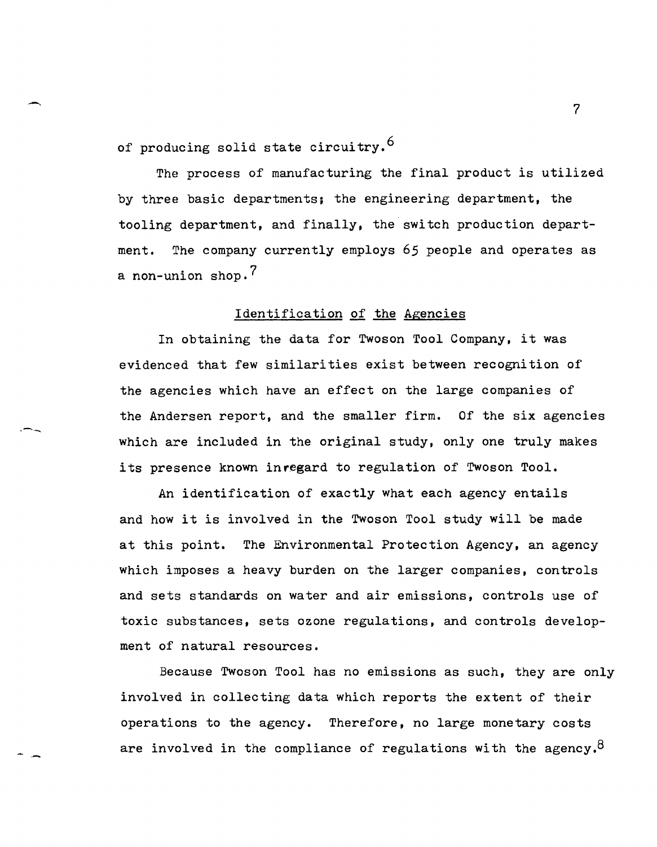of producing solid state circuitry.<sup>6</sup>

The process of manufacturing the final product is utilized by three basic departments; the engineering department, the tooling department, and finally, the switch production department. The company currently employs 65 people and operates as a non-union shop.<sup>7</sup>

## Identification of the Agencies

In obtaining the data for Twoson Tool Company, it was evidenced that few similarities exist between recognition of the agencies which have an effect on the large companies of the Andersen report, and the smaller firm. Of the six agencies which are included in the original study, only one truly makes its presence known inregard to regulation of Twoson Tool.

An identification of exactly what each agency entails and how it is involved in the Twoson Tool study will be made at this point. The Environmental Protection Agency, an agency which imposes a heavy burden on the larger companies, controls and sets standards on water and air emissions, controls use of toxic substances, sets ozone regulations, and controls development of natural resources.

Because Twoson Tool has no emissions as such, they are only involved in collecting data which reports the extent of their operations to the agency. Therefore, no large monetary costs are involved in the compliance of regulations with the agency.<sup>8</sup>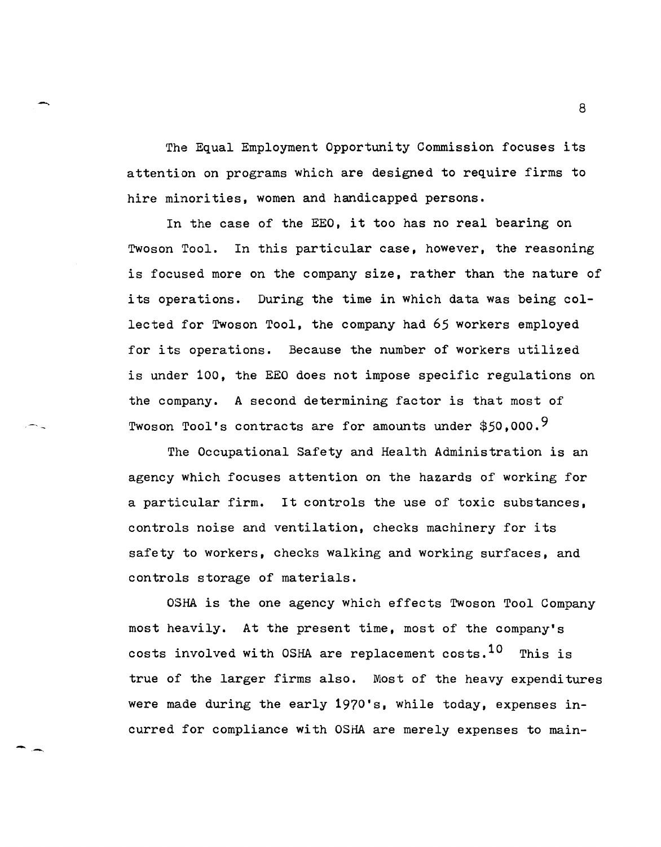The Equal Employment Opportunity Commission focuses its attention on programs which are designed to require firms to hire minorities. women and handicapped persons.

In the case of the EEO, it too has no real bearing on Twoson Tool. In this particular case, however, the reasoning is focused more on the company size, rather than the nature of its operations. During the time in which data was being collected for Twoson Tool. the company had 65 workers employed for its operations. Because the number of workers utilized is under 100, the EEO does not impose specific regulations on the company. A second determining factor is that most of Twoson Tool's contracts are for amounts under \$50,000.<sup>9</sup>

The Occupational Safety and Health Administration is an agency which focuses attention on the hazards of working for a particular firm. It controls the use of toxic substances, controls noise and ventilation, checks machinery for its safety to workers, checks walking and working surfaces, and controls storage of materials.

OSHA is the one agency which effects Twoson Tool Company most heavily. At the present time, most of the company's costs involved with OSHA are replacement costs.<sup>10</sup> This is true of the larger firms also. Most of the heavy expenditures were made during the early 1970's, while today, expenses incurred for compliance with OSHA are merely expenses to main-

 $\sim$  8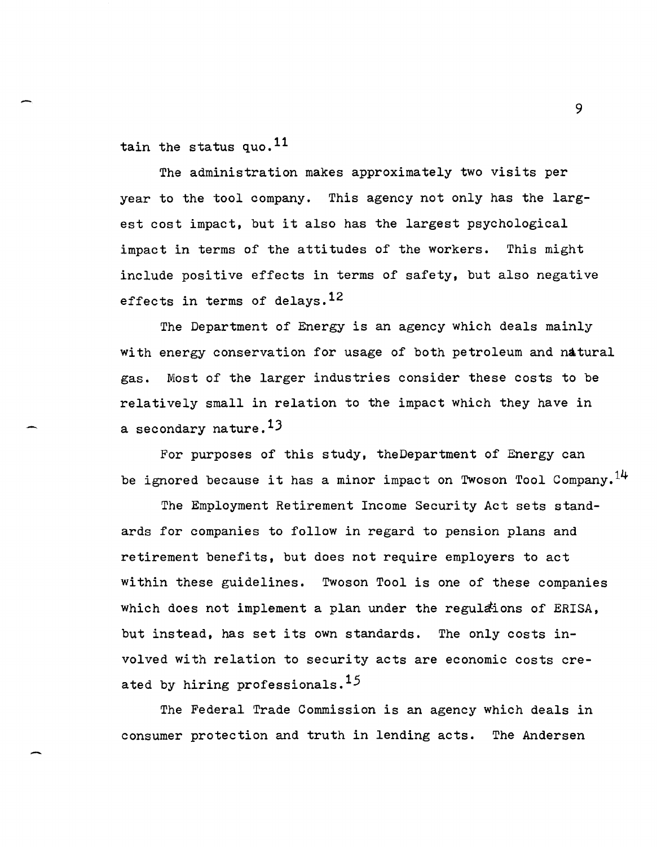tain the status quo.<sup>11</sup>

The administration makes approximately two visits per year to the tool company. This agency not only has the largest cost impact, but it also has the largest psychological impact in terms of the attitudes of the workers. This might include positive effects in terms of safety, but also negative effects in terms of delays.<sup>12</sup>

The Department of Energy is an agency which deals mainly with energy conservation for usage of both petroleum and natural gas. Most of the larger industries consider these costs to be relatively small in relation to the impact which they have in a secondary nature.<sup>13</sup>

For purposes of this study, theDepartment of Energy can be ignored because it has a minor impact on Twoson Tool Company.<sup>14</sup>

The Employment Retirement Income Security Act sets standards for companies to follow in regard to pension plans and retirement benefits, but does not require employers to act within these guidelines. Twoson Tool is one of these companies which does not implement a plan under the regulations of ERISA, but instead, has set its own standards. The only costs involved with relation to security acts are economic costs created by hiring professionals.<sup>15</sup>

The Federal Trade Commission is an agency which deals in consumer protection and truth in lending acts. The Andersen

 $\sim$  9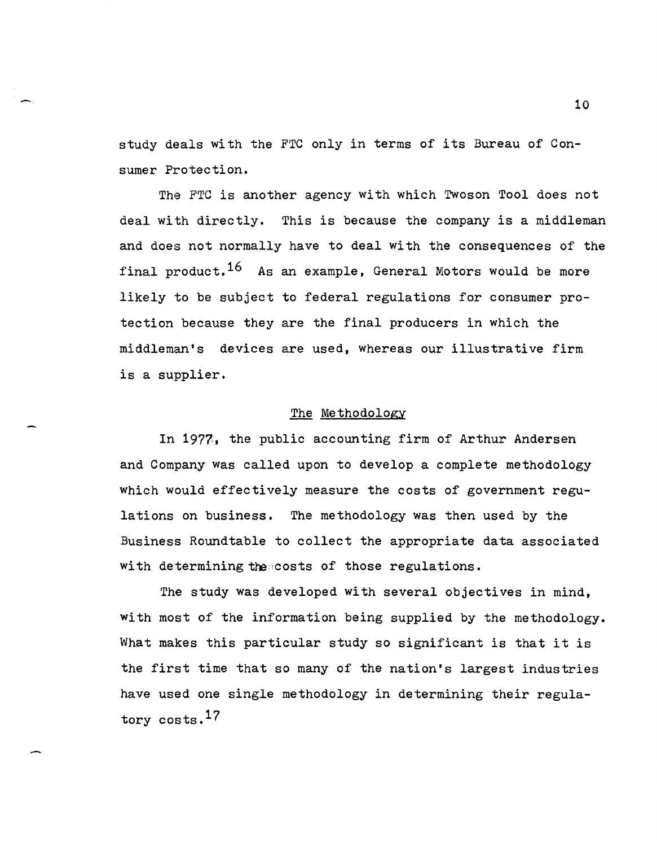study deals with the FTC only in terms of its Bureau of Consumer Protection.

The FTC is another agency with which Twoson Tool does not deal with directly. This is because the company is a middleman and does not normally have to deal with the consequences of the final product.<sup>16</sup> As an example, General Motors would be more likely to be subject to federal regulations for consumer protection because they are the final producers in which the middleman's devices are used, whereas our illustrative firm is a supplier,

#### The Methodology

In 1977, the public accounting firm of Arthur Andersen and Company was called upon to develop a complete methodology which would effectively measure the costs of government regulations on business. The methodology was then used by the Business Roundtable to collect the appropriate data associated with determining the costs of those regulations.

The study was developed with several objectives in mind, with most of the information being supplied by the methodology. What makes this particular study so significant is that it is the first time that so many of the nation's largest industries have used one single methodology in determining their regulatory costs.<sup>17</sup>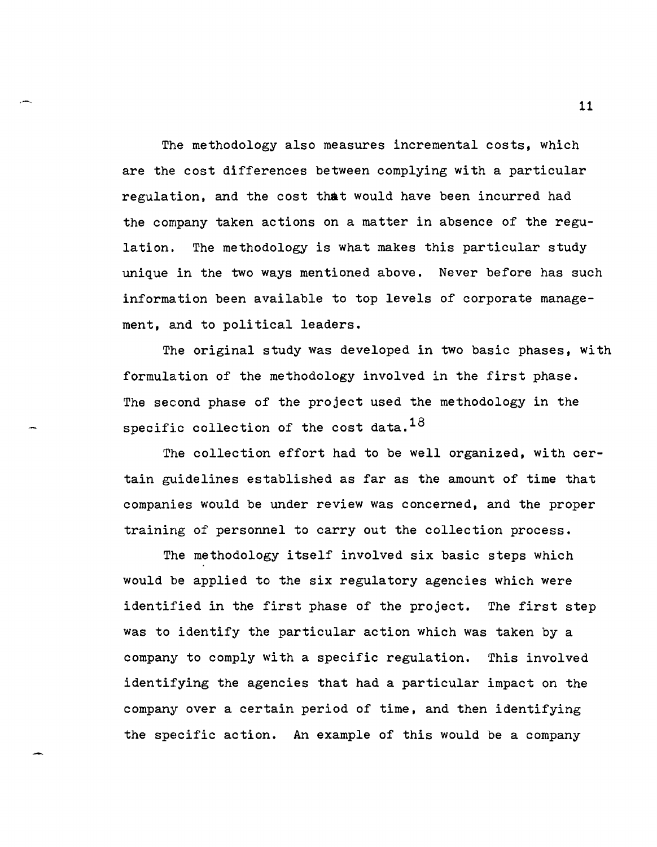The methodology also measures incremental costs, which are the cost differences between complying with a particular regulation, and the cost that would have been incurred had the company taken actions on a matter in absence of the regulation. The methodology is what makes this particular study unique in the two ways mentioned above. Never before has such information been available to top levels of corporate management, and to political leaders.

The original study was developed in two basic phases, with formulation of the methodology involved in the first phase. The second phase of the project used the methodology in the specific collection of the cost data.  $18$ 

The collection effort had to be well organized, with certain guidelines established as far as the amount of time that companies would be under review was concerned, and the proper training of personnel to carry out the collection process.

The methodology itself involved six basic steps which would be applied to the six regulatory agencies which were identified in the first phase of the project. The first step was to identify the particular action which was taken by a company to comply with a specific regulation. This involved identifying the agencies that had a particular impact on the company over a certain period of time, and then identifying the specific action. An example of this would be a company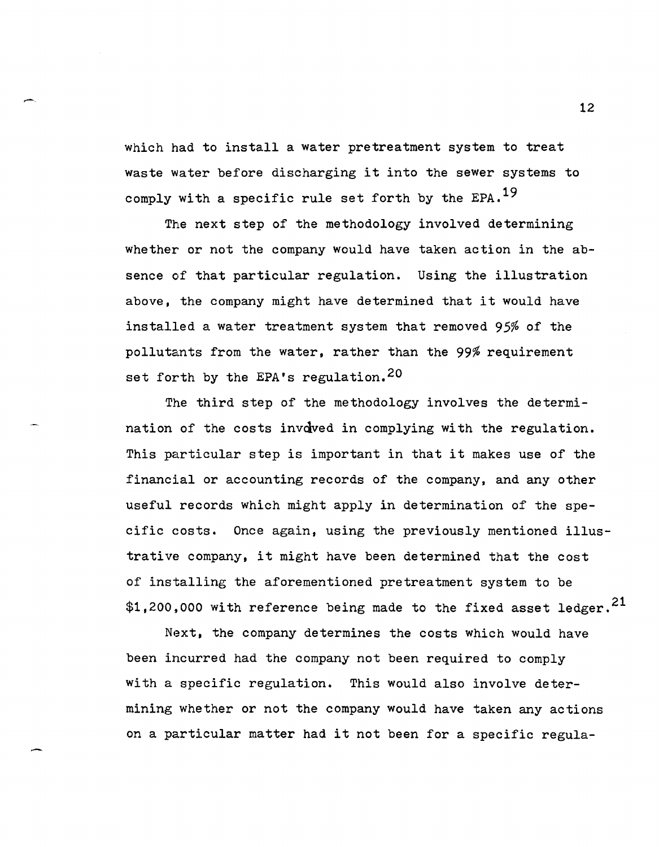which had to install a water pretreatment system to treat waste water before discharging it into the sewer systems to comply with a specific rule set forth by the  $EPA.$ <sup>19</sup>

The next step of the methodology involved determining whether or not the company would have taken action in the absence of that particular regulation. Using the illustration above, the company might have determined that it would have installed a water treatment system that removed 95% of the pollutants from the water, rather than the 99% requirement set forth by the EPA's regulation.<sup>20</sup>

The third step of the methodology involves the determination of the costs invoved in complying with the regulation. This particular step is important in that it makes use of the financial or accounting records of the company, and any other useful records which might apply in determination of the specific costs. Once again, using the previously mentioned illustrative company, it might have been determined that the cost of installing the aforementioned pretreatment system to be \$1,200,000 with reference being made to the fixed asset ledger. $^{21}$ 

Next, the company determines the costs which would have been incurred had the company not been required to comply with a specific regulation. This would also involve determining whether or not the company would have taken any actions on a particular matter had it not been for a specific regula-

-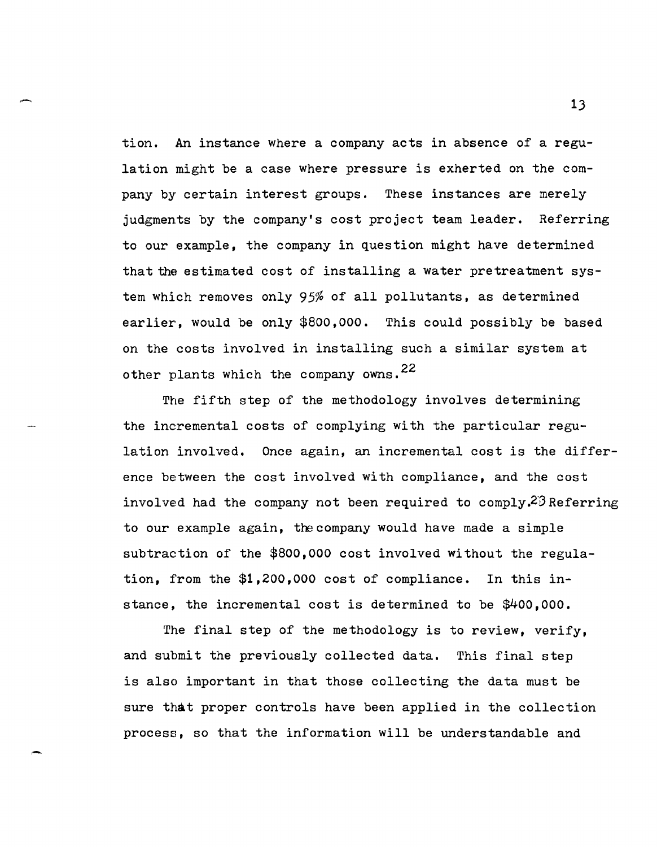tion. An instance where a company acts in absence of a regulation might be a case where pressure is exherted on the company by certain interest groups. These instances are merely judgments by the company's cost project team leader. Referring to our example, the company in question might have determined that the estimated cost of installing a water pretreatment system which removes only 95% of all pollutants, as determined earlier, would be only \$800,000. This could possibly be based on the costs involved in installing such a similar system at other plants which the company owns.  $22$ 

The fifth step of the methodology involves determining the incremental costs of complying with the particular regulation involved. Once again, an incremental cost is the difference between the cost involved with compliance, and the cost involved had the company not been required to comply.<sup>23</sup> Referring to our example again, the company would have made a simple subtraction of the \$800,000 cost involved without the regulation, from the \$1,200,000 cost of compliance. In this instance, the incremental cost is determined to be \$400,000.

The final step of the methodology is to review, verify, and submit the previously collected data. This final step is also important in that those collecting the data must be sure that proper controls have been applied in the collection process, so that the information will be understandable and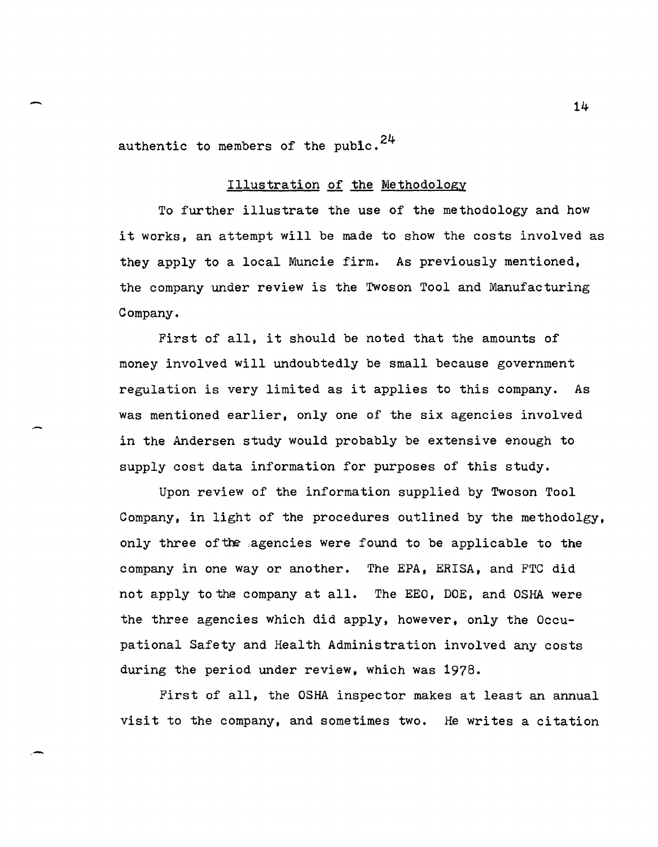authentic to members of the puble.  $24$ 

#### Illustration of the Methodology

To further illustrate the use of the methodology and how it works, an attempt will be made to show the costs involved as they apply to a local Muncie firm. As previously mentioned, the company under review is the Twoson Tool and Manufacturing Company.

First of all, it should be noted that the amounts of money involved will undoubtedly be small because government regulation is very limited as it applies to this company. As was mentioned earlier, only one of the six agencies involved in the Andersen study would probably be extensive enough to supply cost data information for purposes of this study.

Upon review of the information supplied by Twoson Tool Company, in light of the procedures outlined by the methodolgy, only three of the agencies were found to be applicable to the company in one way or another. The EPA, ERISA, and FTC did not apply to the company at all. The EEO, DOE, and OSHA were the three agencies which did apply, however, only the Occupational Safety and Health Administration involved any costs during the period under review, which was 1978.

First of all, the OSHA inspector makes at least an annual visit to the company, and sometimes two. He writes a citation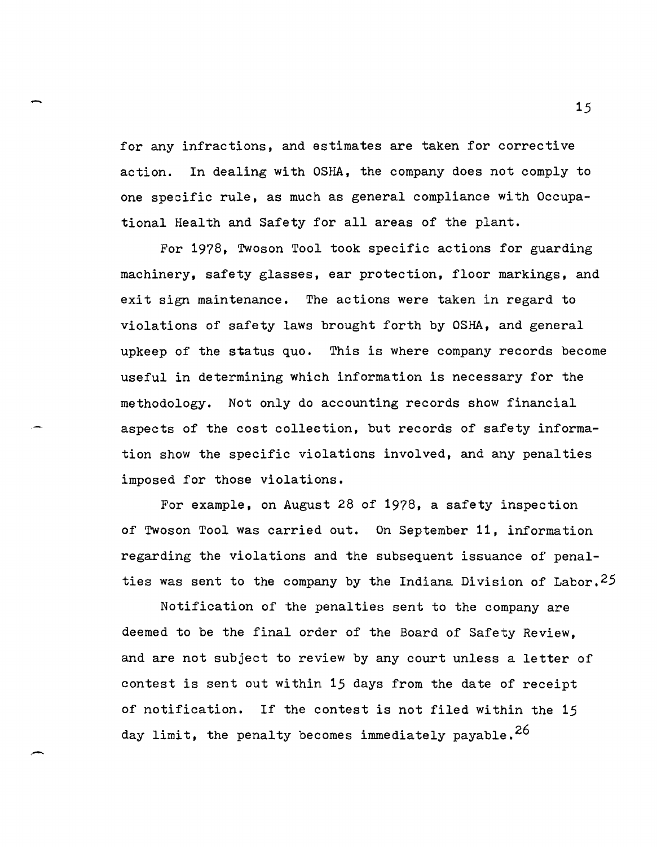for any infractions, and estimates are taken for corrective action. In dealing with OSHA, the company does not comply to one specific rule, as much as general compliance with Occupational Health and Safety for all areas of the plant.

For 1978, Twoson Tool took specific actions for guarding machinery, safety glasses, ear protection, floor markings, and exit sign maintenance. The actions were taken in regard to violations of safety laws brought forth by OSHA, and general upkeep of the status quo. This is where company records become useful in determining which information is necessary for the methodology. Not only do accounting records show financial aspects of the cost collection, but records of safety information show the specific violations involved, and any penalties imposed for those violations.

For example, on August 28 of 1978, a safety inspection of Twoson Tool was carried out. On September **11,** information regarding the violations and the subsequent issuance of penalties was sent to the company by the Indiana Division of Labor.<sup>25</sup>

Notification of the penalties sent to the company are deemed to be the final order of the Board of Safety Review, and are not subject to review by any court unless a letter of contest is sent out within 15 days from the date of receipt of notification. If the contest is not filed within the 15 day limit, the penalty becomes immediately payable.<sup>26</sup>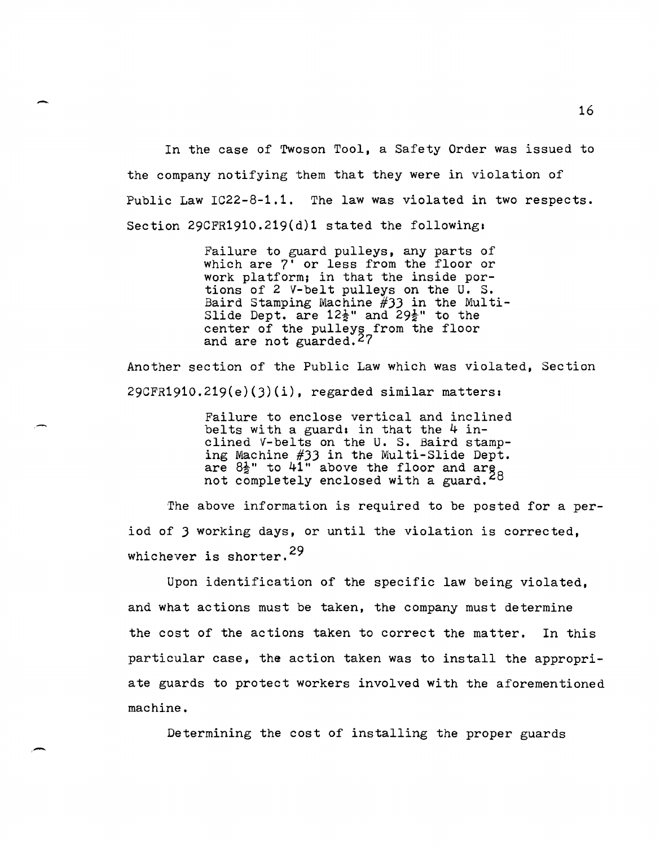In the case of Twoson Tool, a Safety Order was issued to the company notifying them that they were in violation of Public Law IC22-8-1.1. The law was violated in two respects. Section 29CFR1910.219 $(d)1$  stated the following:

-

,-

Failure to guard pulleys, any parts of which are 7' or less from the floor or work platform; in that the inside portions of 2 V-belt pulleys on the U. S. Baird Stamping Machine #JJ in the Multi-Slide Dept. are  $12\frac{1}{2}$ " and  $29\frac{1}{2}$ " to the center of the pulleys from the floor and are not guarded. $27$ 

Another section of the Public Law which was violated, Section  $29CFR1910.219(e)(3)(i)$ , regarded similar matters:

> Failure to enclose vertical and inclined belts with a guard: in that the  $4$  inclined '{-belts on the U. S. Baird stamping Machine #JJ in the Multi-Slide Dept. are  $8\frac{1}{2}$ " to  $41$ " above the floor and  $\arg_{\alpha}$ not completely enclosed with a guard.<sup>28</sup>

The above information is required to be posted for a period of J working days, or until the violation is corrected, whichever is shorter.<sup>29</sup>

Upon identification of the specific law being violated, and what actions must be taken, the company must determine the cost of the actions taken to correct the matter. In this particular case, the action taken was to install the appropriate guards to protect workers involved with the aforementioned machine.

Determining the cost of installing the proper guards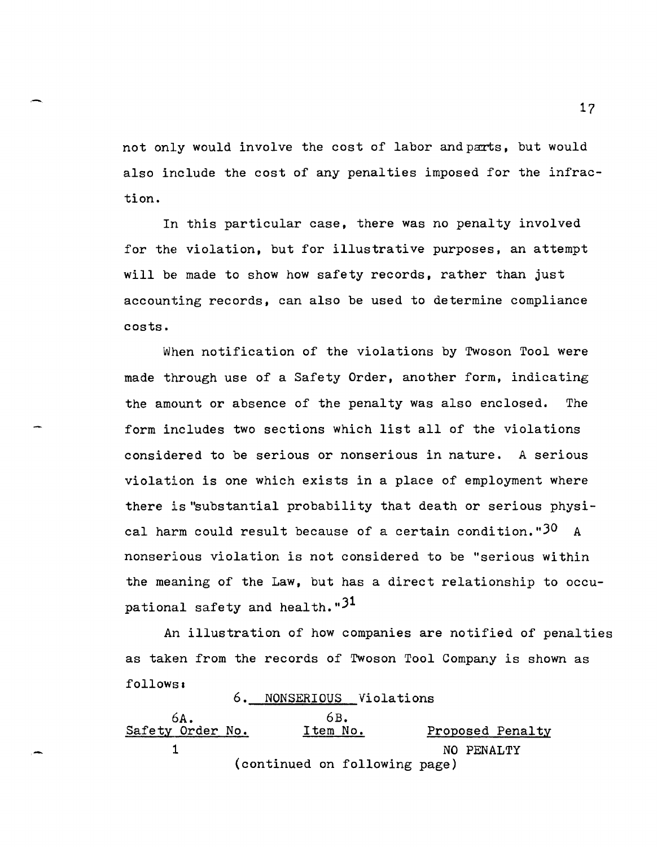not only would involve the cost of labor and parts, but would also include the cost of any penalties imposed for the infraction.

In this particular case, there was no penalty involved for the violation, but for illustrative purposes, an attempt will be made to show how safety records, rather than just accounting records, can also be used to determine compliance costs.

When notification of the violations by Twoson Tool were made through use of a Safety Order, another form, indicating the amount or absence of the penalty was also enclosed. The form includes two sections which list all of the violations considered to be serious or nonserious in nature. A serious violation is one which exists in a place of employment where there is "substantial probability that death or serious physical harm could result because of a certain condition." $30$  A nonserious violation is not considered to be "serious within the meaning of the Law, but has a direct relationship to occupational safety and health."<sup>31</sup>

An illustration of how companies are notified of penalties as taken from the records of Twoson Tool Company is shown as follows:

6A.<br>Safety Order No. 6. NONSERIOUS Violations 6B.<br>Item No. Proposed Penalty 1 NO PENALTY (continued on following page)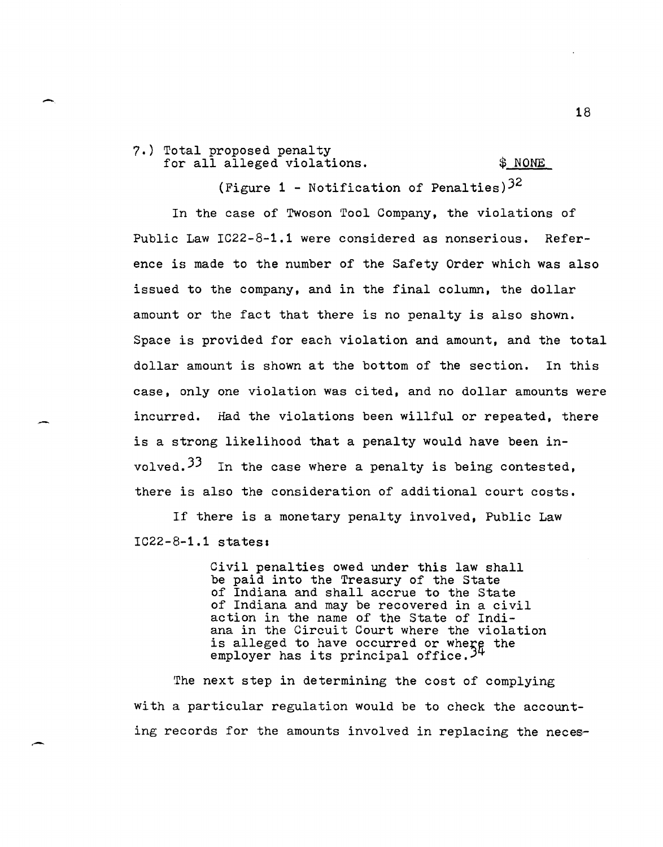7.) Total proposed penalty for all alleged violations.  $\frac{1}{2}$  NONE

-

-

(Figure 1 - Notification of Penalties) $3^2$ 

In the case of Twoson Tool Company, the violations of Public Law IC22-8-1.1 were considered as nonserious. Reference is made to the number of the Safety Order which was also issued to the company, and in the final column, the dollar amount or the fact that there is no penalty is also shown. Space is provided for each violation and amount, and the total dollar amount is shown at the bottom of the section. In this case, only one violation was cited, and no dollar amounts were incurred. Had the violations been willful or repeated, there is a strong likelihood that a penalty would have been involved.  $33$  In the case where a penalty is being contested, there is also the consideration of additional court costs.

If there is a monetary penalty involved, Public Law IC22-8-1.1 states,

> Civil penalties owed under this law shall be paid into the Treasury of the State of Indiana and shall accrue to the State of Indiana and may be recovered in a civil action in the name of the State of Indiana in the Circuit Court where the violation is alleged to have occurred or where the employer has its principal office.<sup>35</sup>

The next step in determining the cost of complying with a particular regulation would be to check the accounting records for the amounts involved in replacing the neces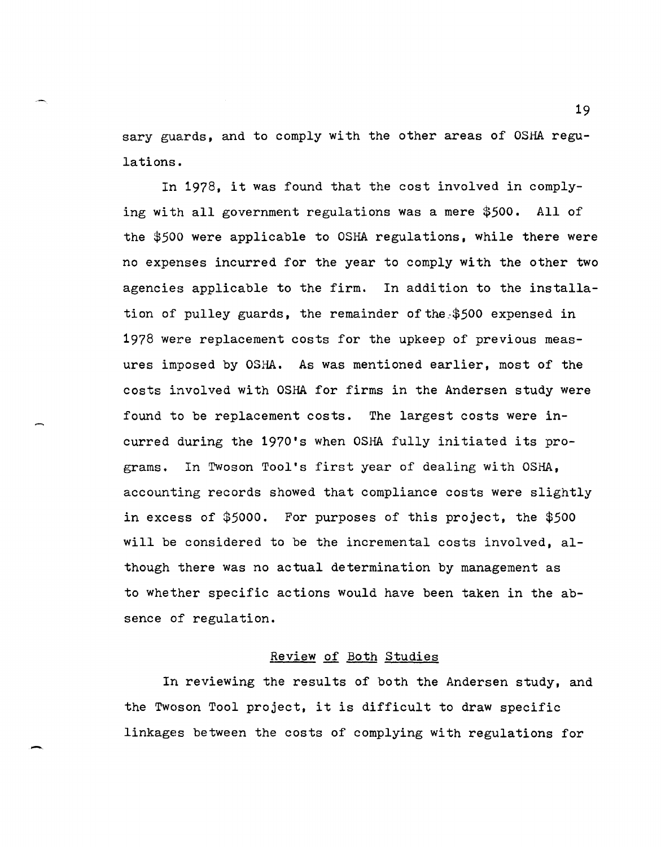sary guards, and to comply with the other areas of OSHA regulations.

In 1978, it was found that the cost involved in complying with all government regulations was a mere \$500. All of the \$500 were applicable to OSHA regulations, while there were no expenses incurred for the year to comply with the other two agencies applicable to the firm. In addition to the installation of pulley guards, the remainder of the \$500 expensed in 1978 were replacement costs for the upkeep of previous measures imposed by OSHA. As was mentioned earlier, most of the costs involved with OSHA for firms in the Andersen study were found to be replacement costs. The largest costs were incurred during the 1970's when OSHA fully initiated its programs. In Twoson Tool's first year of dealing with OSHA, accounting records showed that compliance costs were slightly in excess of \$5000. For purposes of this project, the \$500 will be considered to be the incremental costs involved, although there was no actual determination by management as to whether specific actions would have been taken in the absence of regulation.

#### Review of Both Studies

In reviewing the results of both the Andersen study, and the Twoson Tool project, it is difficult to draw specific linkages between the costs of complying with regulations for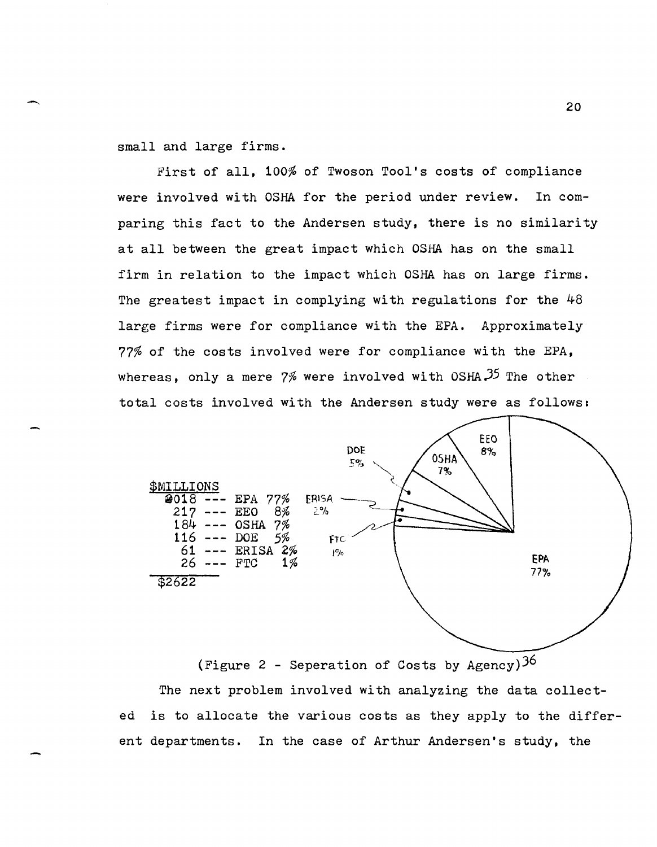small and large firms.

First of all, 100% of Twoson Tool's costs of compliance were involved with OSHA for the period under review. In comparing this fact to the Andersen study, there is no similarity at all between the great impact which OSHA has on the small firm in relation to the impact which OSHA has on large firms. The greatest impact in complying with regulations for the 48 large firms were for compliance with the EPA. Approximately 77% of the costs involved were for compliance with the EPA, whereas, only a mere  $7%$  were involved with OSHA $35$  The other total costs involved with the Andersen study were as follows:



(Figure 2 - Seperation of Costs by Agency)  $36$ The next problem involved with analyzing the data collected is to allocate the various costs as they apply to the different departments. In the case of Arthur Andersen's study, the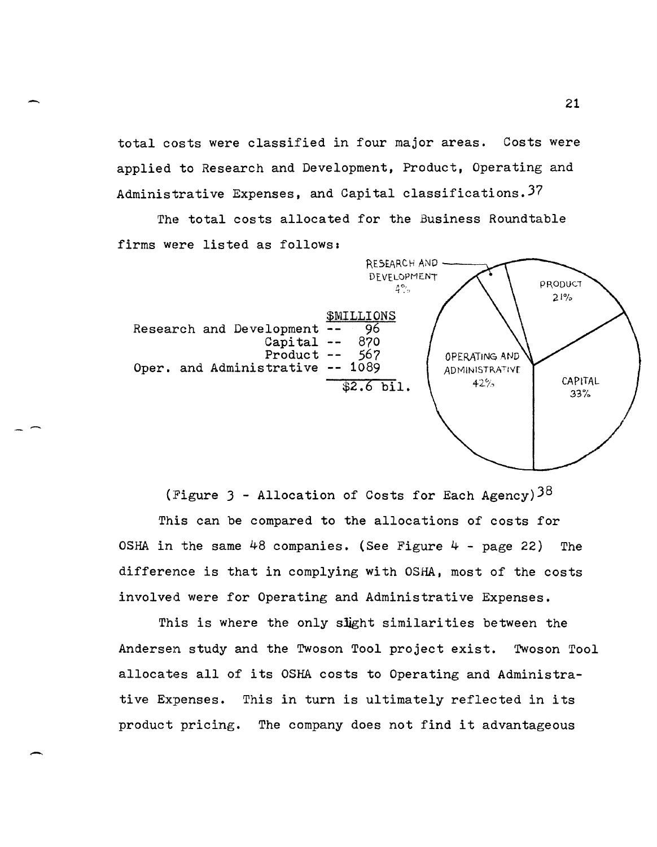total costs were classified in four major areas. Costs were applied to Research and Development. Product. Operating and Administrative Expenses, and Capital classifications. 37

The total costs allocated for the Business Roundtable firms were listed as follows:



(Figure 3 - Allocation of Costs for Each Agency)<sup>38</sup> This can be compared to the allocations of costs for OSHA in the same  $48$  companies. (See Figure  $4 -$  page 22) The difference is that in complying with OSHA, most of the costs involved were for Operating and Administrative Expenses.

This is where the only slight similarities between the Andersen study and the Twoson Tool project exist. Twoson Tool allocates all of its OSHA costs to Operating and Administrative Expenses. This in turn is ultimately reflected in its product pricing. The company does not find it advantageous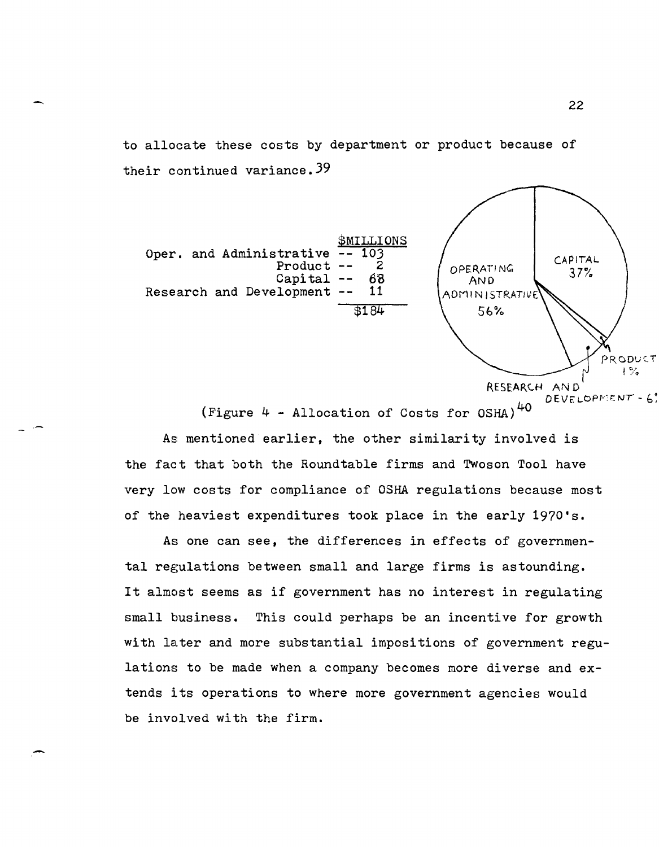to alloeate these costs by department or product because of their continued variance.39



(Figure  $4$  - Allocation of Costs for OSHA)<sup>40</sup>

As mentioned earlier, the other similarity involved is the fact that both the Roundtable firms and Twoson Tool have very low costs for compliance of OSHA regulations because most of the heaviest expenditures took place in the early 1970's.

As one can see, the differences in effects of governmental regulations between small and large firms is astounding. It almost seems as if government has no interest in regulating small business. This could perhaps be an incentive for growth with later and more substantial impositions of government regulations to be made when a company becomes more diverse and extends its operations to where more government agencies would be involved with the firm.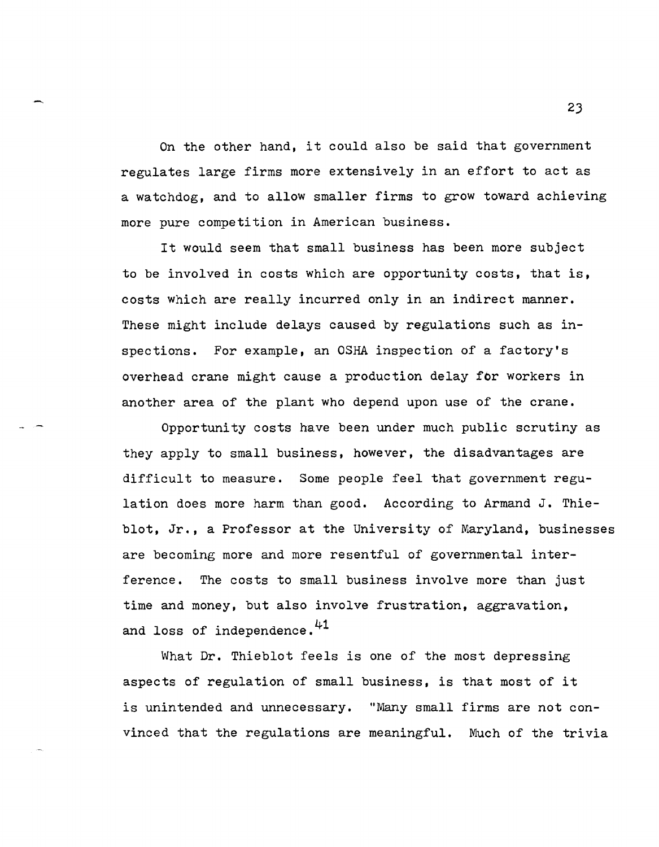On the other hand, it could also be said that government regulates large firms more extensively in an effort to act as a watchdog, and to allow smaller firms to grow toward achieving more pure competition in American business.

It would seem that small business has been more subject to be involved in costs which are opportunity costs, that is, costs which are really incurred only in an indirect manner. These might include delays caused by regulations such as inspections. For example, an OSHA inspection of a factory's overhead crane might cause a production delay for workers in another area of the plant who depend upon use of the crane.

Opportunity costs have been under much public scrutiny as they apply to small business, however, the disadvantages are difficult to measure. Some people feel that government regulation does more harm than good. According to Armand J. Thieblot, Jr., a Professor at the University of Maryland, businesses are becoming more and more resentful of governmental interference. The costs to small business involve more than just time and money, but also involve frustration, aggravation, and loss of independence.<sup>41</sup>

What Dr. Thieblot feels is one of the most depressing aspects of regulation of small business, is that most of it is unintended and unnecessary. "Many small firms are not convinced that the regulations are meaningful. Much of the trivia

 $-$  23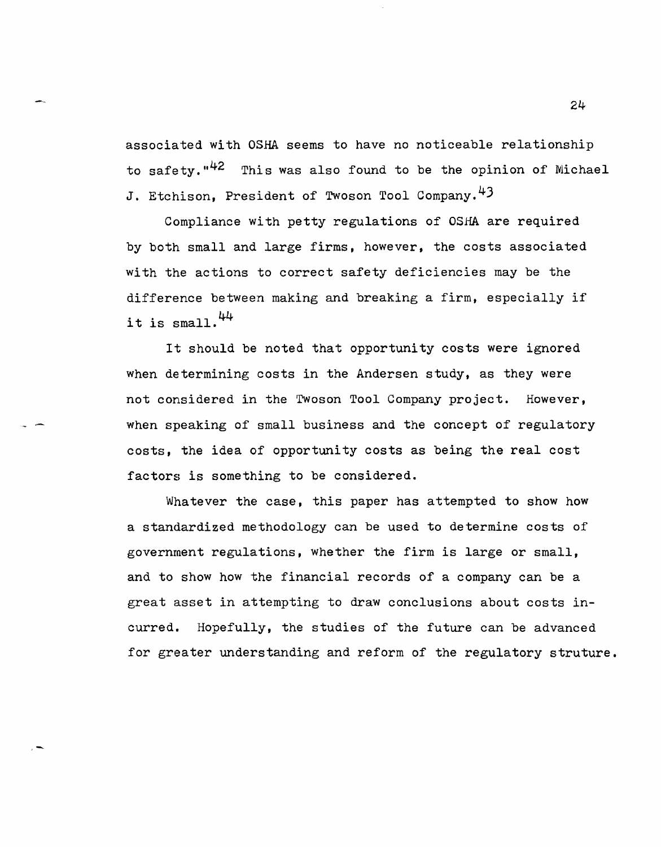associated with OSHA seems to have no noticeable relationship to safety."<sup>42</sup> This was also found to be the opinion of Michael J. Etchison, President of Twoson Tool Company.<sup>43</sup>

Compliance with petty regulations of OSHA are required by both small and large firms, however, the costs associated with the actions to correct safety deficiencies may be the difference between making and breaking a firm, especially if it is small. $44$ 

It should be noted that opportunity costs were ignored when determining costs in the Andersen study, as they were not considered in the Twoson Tool Company project. However, when speaking of small business and the concept of regulatory costs, the idea of opportunity costs as being the real cost factors is something to be considered.

Whatever the case, this paper has attempted to show how a standardized methodology can be used to determine costs of government regulations, whether the firm is large or small, and to show how the financial records of a company can be a great asset in attempting to draw conclusions about costs incurred. Hopefully, the studies of the future can be advanced for greater understanding and reform of the regulatory struture.

,-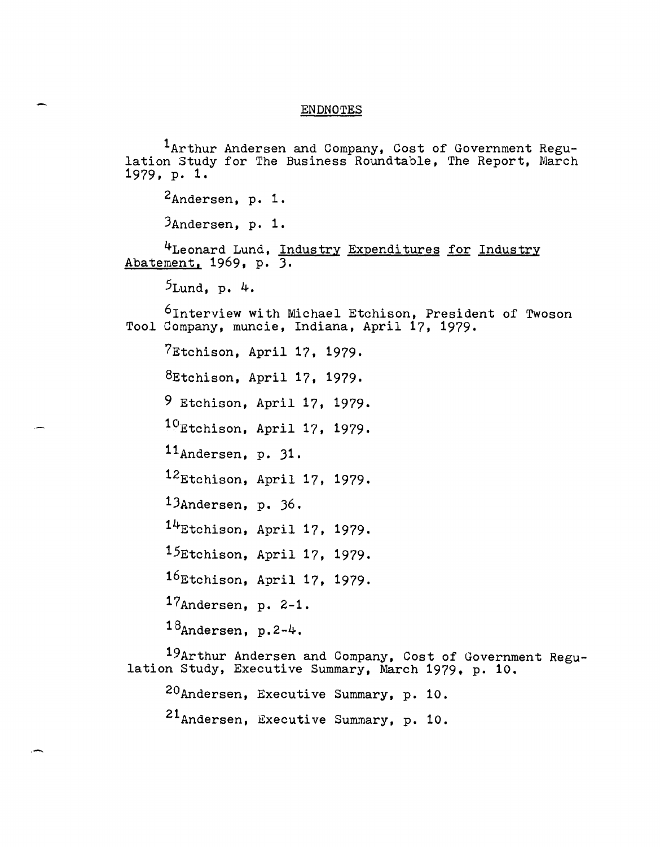#### ENDNOTES

1Arthur Andersen and Company, Cost of Government Regu- lation Study for The Business Roundtable, The Report, March 1979, p. 1.

2Andersen, p. 1.

3Andersen, p. 1.

<sup>4</sup>Leonard Lund, <u>Industry Expenditures for Industry</u> Abatement, 1969. p. 3.

5Lund, p. 4.

6Interview with Michael Etchison, President of Twoson Tool Company, muncie, Indiana, April 17, 1979.

7Etchison, April 17, 1979.

8Etchison, April 17, 1979.

9 Etchison, April 17, 1979.

10Etchison, April 17, 1979.

11Andersen, p. 31.

12Etchison, April 17, 1979.

1JAndersen, p. 36.

 $14$ Etchison, April 17, 1979.

15Etchison, April 17, 1979.

16Etchison, April 17, 1979.

17Andersen, p. 2-1.

 $18$ Andersen, p.2-4.

. -.

19Arthur Andersen and Company, Cost of Government Regu-<br>lation Study, Executive Summary, March 1979, p. 10.

20Andersen, Executive Summary, p. 10.

21<sub>Andersen, Executive Summary, p. 10.</sub>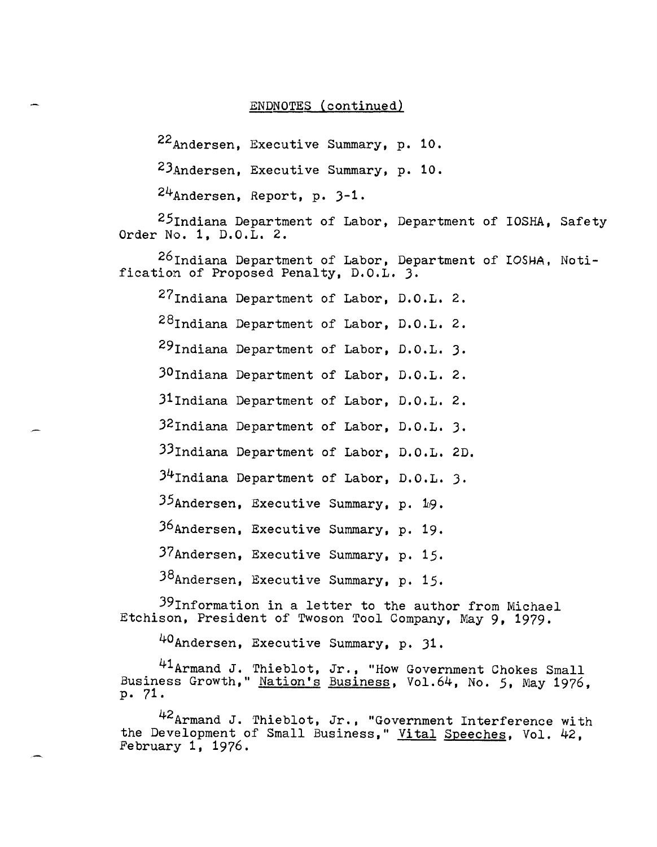## ENDNOTES (continued)

22Andersen, Executive Summary, p. 10.

2JAndersen, Executive Summary, p. 10.

24Andersen, Report, p. J-l.

 $25$ Indiana Department of Labor, Department of IOSHA, Safety Order No.1, D.O.L. 2.

 $^{26}$ Indiana Department of Labor, Department of IOSHA, fication of Proposed Penalty, D.O.L. J. Noti-

27Indiana Department of Labor, D.O.L. 2.

28Indiana Department of Labor, D.O.L. 2.

29Indiana Department of Labor, D.O.L. J.

JOlndiana Department of Labor. D.O.L. 2.

J1Indiana Department of Labor, D.O.L. 2.

J2Indiana Department of Labor. D.O.L. J.

JJlndiana Department of Labor. D.O.L. 2D.

 $34$ Indiana Department of Labor, D.O.L. 3.

35Andersen, Executive Summary, p. 19.

J6Andersen, Executive Summary, p. 19.

37Andersen, Executive Summary, p. 15.

38Andersen, Executive Summary, p. 15.

39Information in a letter to the author from Michael Etchison, President of Twoson Tool Company, May 9, 1979.

40Andersen. Executive Summary, p. Jl.

41 Armand J. Thieblot, Jr., "How Government Chokes Small Business Growth," Nation's Business, Vol.64, No. 5, May 1976, p. 71.

42Armand J. Thieblot, Jr., "Government Interference with the Development of Small Business," Vital Speeches, Vol. 42, February 1, 1976.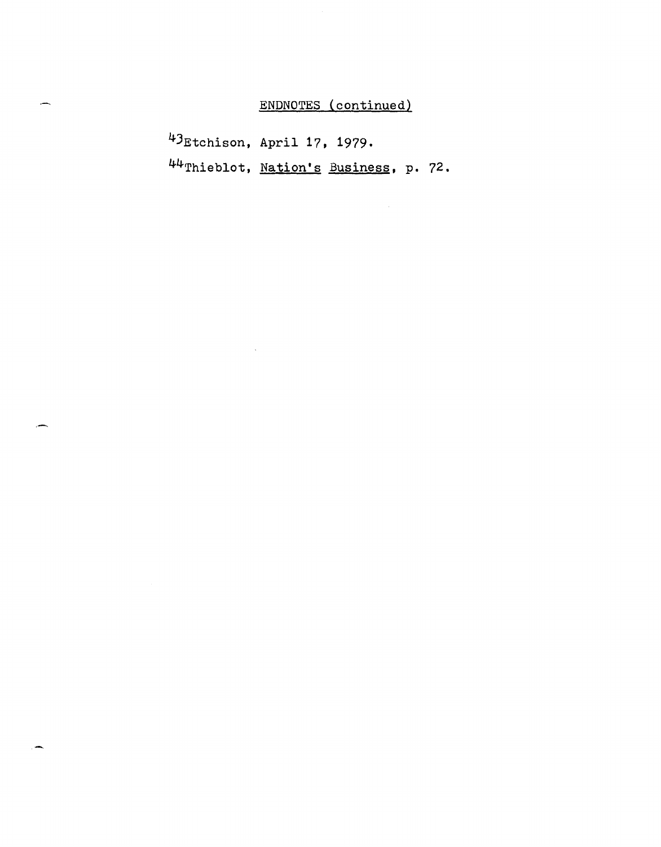# ENDNOTES (continued)

4JEtchison, April 17, 1979. 44Thieblot, Nation's Business, **p.** 72.

 $\overline{\phantom{0}}$